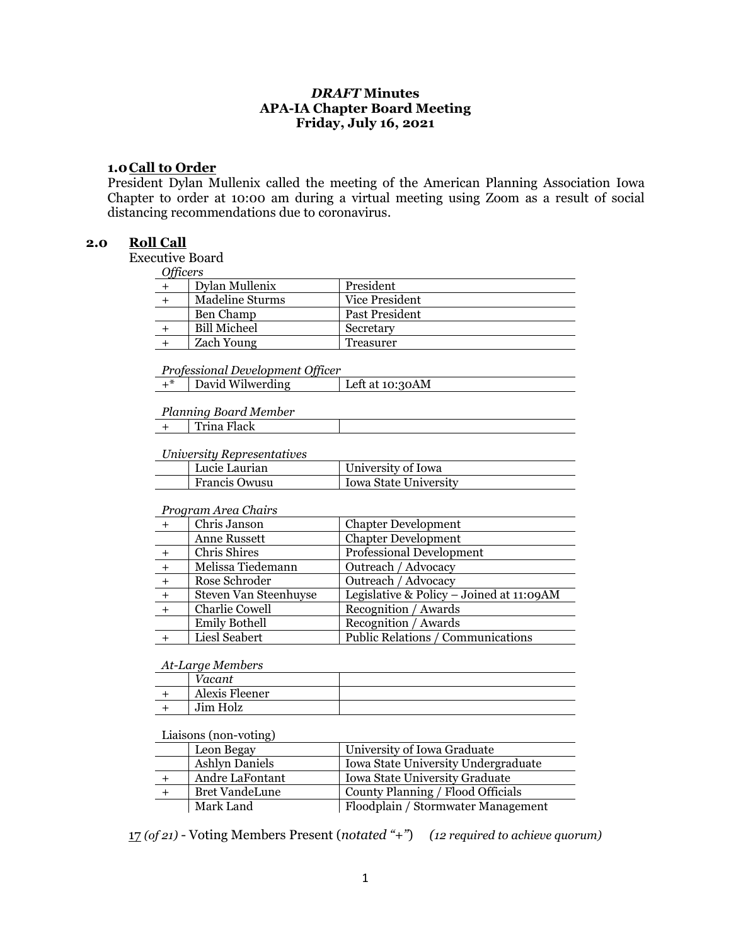# *DRAFT* **Minutes APA-IA Chapter Board Meeting Friday, July 16, 2021**

### **1.0Call to Order**

President Dylan Mullenix called the meeting of the American Planning Association Iowa Chapter to order at 10:00 am during a virtual meeting using Zoom as a result of social distancing recommendations due to coronavirus.

### **2.0 Roll Call**

Executive Board  $C$ *F<sub>ig</sub>* 

| Otticers            |                  |
|---------------------|------------------|
| Dylan Mullenix      | President        |
| Madeline Sturms     | Vice President   |
| Ben Champ           | Past President   |
| <b>Bill Micheel</b> | Secretary        |
| <b>Zach Young</b>   | <b>Treasurer</b> |
|                     |                  |

*Professional Development Officer*

| David Wilwerding<br>Left at 10:30AM |  |
|-------------------------------------|--|

#### *Planning Board Member*

|  |  | Trina Flack |
|--|--|-------------|
|--|--|-------------|

#### *University Representatives*

| Lucie Laurian        | University of Iowa           |
|----------------------|------------------------------|
| <b>Francis Owusu</b> | <b>Iowa State University</b> |

#### *Program Area Chairs*

|     | Chris Janson          | <b>Chapter Development</b>               |
|-----|-----------------------|------------------------------------------|
|     | Anne Russett          | <b>Chapter Development</b>               |
|     | Chris Shires          | Professional Development                 |
|     | Melissa Tiedemann     | Outreach / Advocacy                      |
| $+$ | Rose Schroder         | Outreach / Advocacy                      |
| $+$ | Steven Van Steenhuyse | Legislative & Policy - Joined at 11:09AM |
|     | <b>Charlie Cowell</b> | Recognition / Awards                     |
|     | <b>Emily Bothell</b>  | Recognition / Awards                     |
|     | Liesl Seabert         | Public Relations / Communications        |

#### *At-Large Members*

| ′acant         |  |
|----------------|--|
| Alexis Fleener |  |
| Jim Holz       |  |

### Liaisons (non-voting)

| Leon Begay            | University of Iowa Graduate         |
|-----------------------|-------------------------------------|
| <b>Ashlyn Daniels</b> | Iowa State University Undergraduate |
| Andre LaFontant       | Iowa State University Graduate      |
| <b>Bret VandeLune</b> | County Planning / Flood Officials   |
| Mark Land             | Floodplain / Stormwater Management  |

17 *(of 21)* - Voting Members Present (*notated "+"*) *(12 required to achieve quorum)*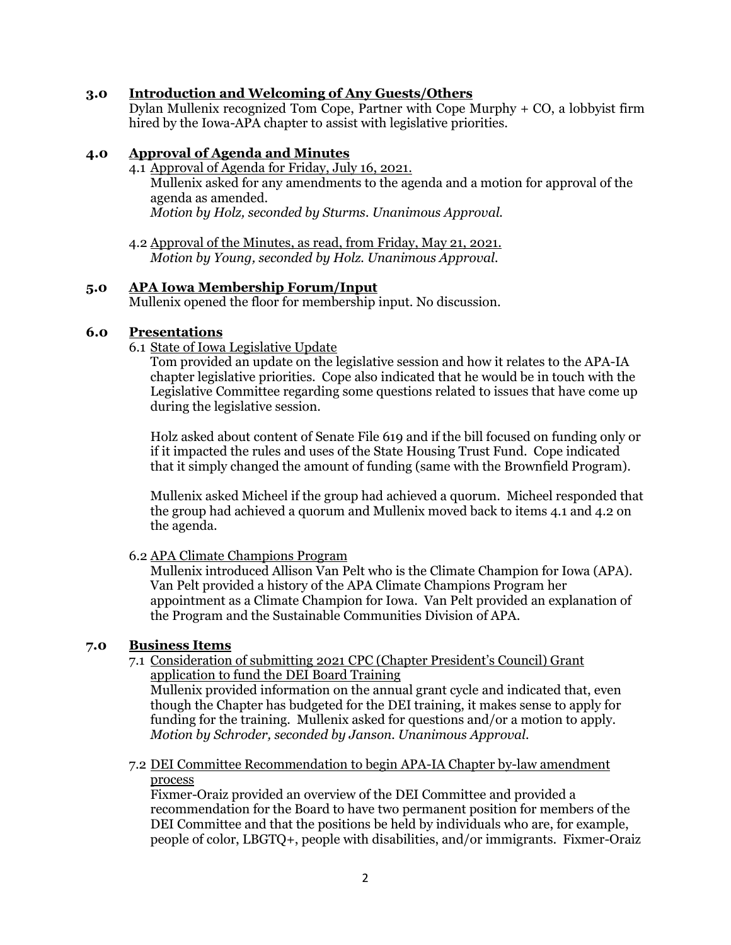# **3.0 Introduction and Welcoming of Any Guests/Others**

Dylan Mullenix recognized Tom Cope, Partner with Cope Murphy + CO, a lobbyist firm hired by the Iowa-APA chapter to assist with legislative priorities.

## **4.0 Approval of Agenda and Minutes**

- 4.1 Approval of Agenda for Friday, July 16, 2021. Mullenix asked for any amendments to the agenda and a motion for approval of the agenda as amended. *Motion by Holz, seconded by Sturms. Unanimous Approval.*
- 4.2 Approval of the Minutes, as read, from Friday, May 21, 2021. *Motion by Young, seconded by Holz. Unanimous Approval.*

## **5.0 APA Iowa Membership Forum/Input**

Mullenix opened the floor for membership input. No discussion.

# **6.0 Presentations**

6.1 State of Iowa Legislative Update

Tom provided an update on the legislative session and how it relates to the APA-IA chapter legislative priorities. Cope also indicated that he would be in touch with the Legislative Committee regarding some questions related to issues that have come up during the legislative session.

Holz asked about content of Senate File 619 and if the bill focused on funding only or if it impacted the rules and uses of the State Housing Trust Fund. Cope indicated that it simply changed the amount of funding (same with the Brownfield Program).

Mullenix asked Micheel if the group had achieved a quorum. Micheel responded that the group had achieved a quorum and Mullenix moved back to items 4.1 and 4.2 on the agenda.

## 6.2 APA Climate Champions Program

Mullenix introduced Allison Van Pelt who is the Climate Champion for Iowa (APA). Van Pelt provided a history of the APA Climate Champions Program her appointment as a Climate Champion for Iowa. Van Pelt provided an explanation of the Program and the Sustainable Communities Division of APA.

# **7.0 Business Items**

7.1 Consideration of submitting 2021 CPC (Chapter President's Council) Grant application to fund the DEI Board Training

Mullenix provided information on the annual grant cycle and indicated that, even though the Chapter has budgeted for the DEI training, it makes sense to apply for funding for the training. Mullenix asked for questions and/or a motion to apply. *Motion by Schroder, seconded by Janson. Unanimous Approval.*

7.2 DEI Committee Recommendation to begin APA-IA Chapter by-law amendment process

Fixmer-Oraiz provided an overview of the DEI Committee and provided a recommendation for the Board to have two permanent position for members of the DEI Committee and that the positions be held by individuals who are, for example, people of color, LBGTQ+, people with disabilities, and/or immigrants. Fixmer-Oraiz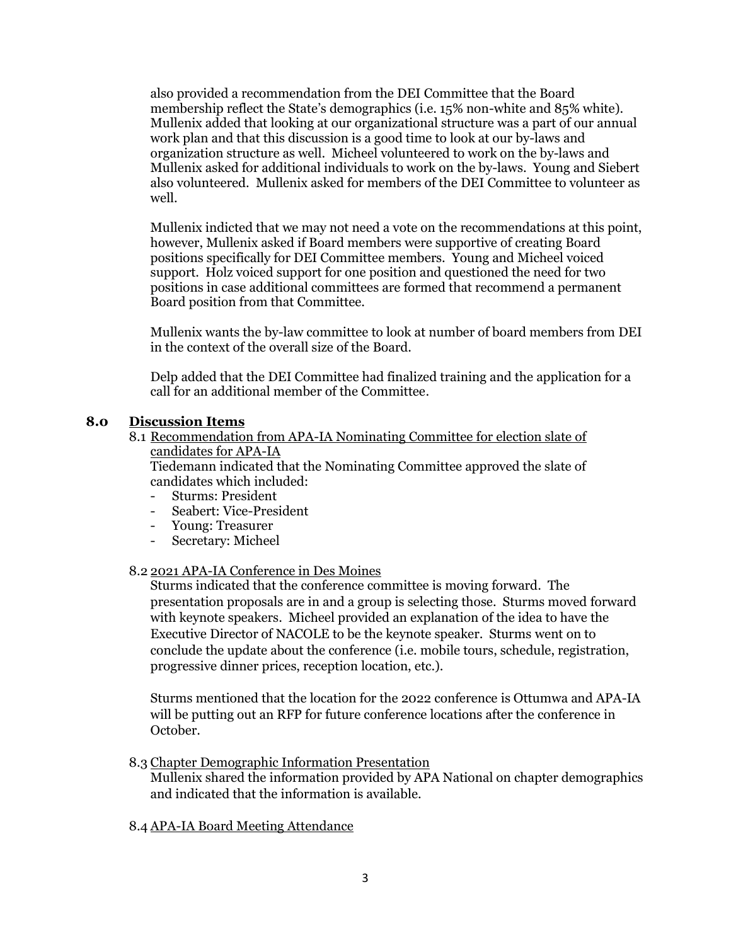also provided a recommendation from the DEI Committee that the Board membership reflect the State's demographics (i.e. 15% non-white and 85% white). Mullenix added that looking at our organizational structure was a part of our annual work plan and that this discussion is a good time to look at our by-laws and organization structure as well. Micheel volunteered to work on the by-laws and Mullenix asked for additional individuals to work on the by-laws. Young and Siebert also volunteered. Mullenix asked for members of the DEI Committee to volunteer as well.

Mullenix indicted that we may not need a vote on the recommendations at this point, however, Mullenix asked if Board members were supportive of creating Board positions specifically for DEI Committee members. Young and Micheel voiced support. Holz voiced support for one position and questioned the need for two positions in case additional committees are formed that recommend a permanent Board position from that Committee.

Mullenix wants the by-law committee to look at number of board members from DEI in the context of the overall size of the Board.

Delp added that the DEI Committee had finalized training and the application for a call for an additional member of the Committee.

# **8.0 Discussion Items**

8.1 Recommendation from APA-IA Nominating Committee for election slate of candidates for APA-IA

Tiedemann indicated that the Nominating Committee approved the slate of candidates which included:

- Sturms: President
- Seabert: Vice-President
- Young: Treasurer
- Secretary: Micheel

## 8.2 2021 APA-IA Conference in Des Moines

Sturms indicated that the conference committee is moving forward. The presentation proposals are in and a group is selecting those. Sturms moved forward with keynote speakers. Micheel provided an explanation of the idea to have the Executive Director of NACOLE to be the keynote speaker. Sturms went on to conclude the update about the conference (i.e. mobile tours, schedule, registration, progressive dinner prices, reception location, etc.).

Sturms mentioned that the location for the 2022 conference is Ottumwa and APA-IA will be putting out an RFP for future conference locations after the conference in October.

8.3 Chapter Demographic Information Presentation

Mullenix shared the information provided by APA National on chapter demographics and indicated that the information is available.

## 8.4 APA-IA Board Meeting Attendance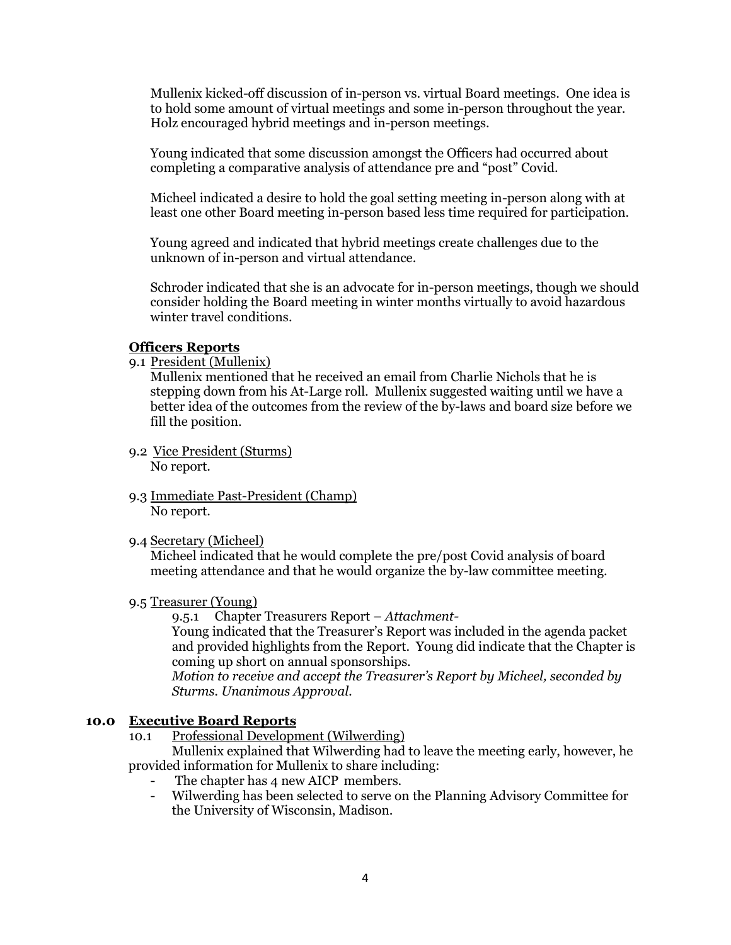Mullenix kicked-off discussion of in-person vs. virtual Board meetings. One idea is to hold some amount of virtual meetings and some in-person throughout the year. Holz encouraged hybrid meetings and in-person meetings.

Young indicated that some discussion amongst the Officers had occurred about completing a comparative analysis of attendance pre and "post" Covid.

Micheel indicated a desire to hold the goal setting meeting in-person along with at least one other Board meeting in-person based less time required for participation.

Young agreed and indicated that hybrid meetings create challenges due to the unknown of in-person and virtual attendance.

Schroder indicated that she is an advocate for in-person meetings, though we should consider holding the Board meeting in winter months virtually to avoid hazardous winter travel conditions.

## **Officers Reports**

9.1 President (Mullenix)

Mullenix mentioned that he received an email from Charlie Nichols that he is stepping down from his At-Large roll. Mullenix suggested waiting until we have a better idea of the outcomes from the review of the by-laws and board size before we fill the position.

- 9.2 Vice President (Sturms) No report.
- 9.3 Immediate Past-President (Champ) No report.
- 9.4 Secretary (Micheel)

Micheel indicated that he would complete the pre/post Covid analysis of board meeting attendance and that he would organize the by-law committee meeting.

9.5 Treasurer (Young)

9.5.1 Chapter Treasurers Report – *Attachment-*

Young indicated that the Treasurer's Report was included in the agenda packet and provided highlights from the Report. Young did indicate that the Chapter is coming up short on annual sponsorships.

*Motion to receive and accept the Treasurer's Report by Micheel, seconded by Sturms. Unanimous Approval.*

## **10.0 Executive Board Reports**

10.1 Professional Development (Wilwerding)

Mullenix explained that Wilwerding had to leave the meeting early, however, he provided information for Mullenix to share including:

- The chapter has 4 new AICP members.
- Wilwerding has been selected to serve on the Planning Advisory Committee for the University of Wisconsin, Madison.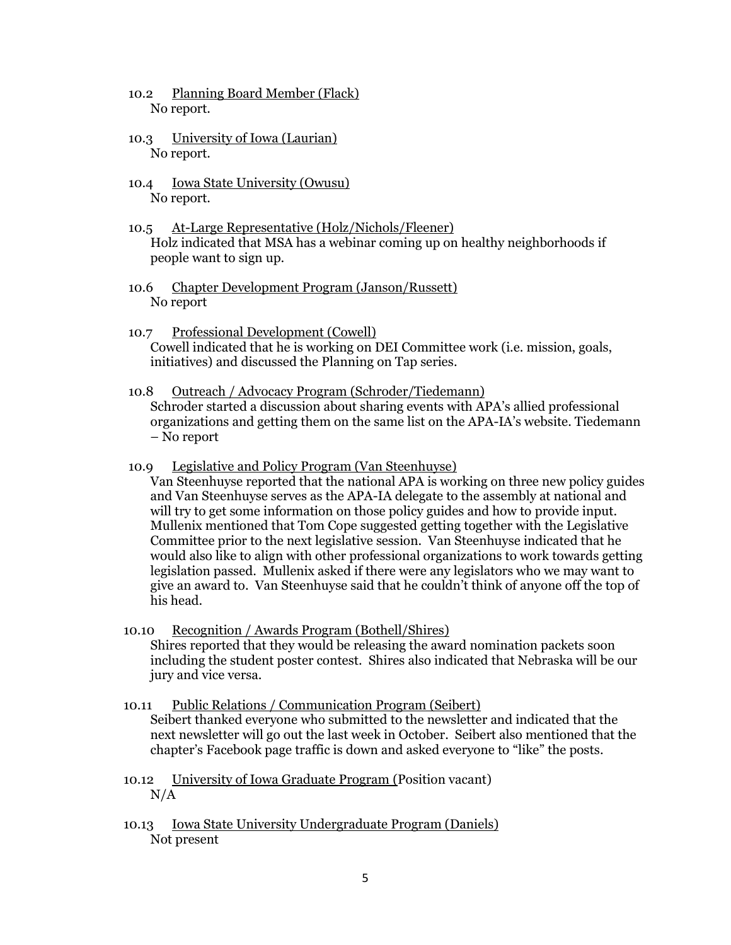- 10.2 Planning Board Member (Flack) No report.
- 10.3 University of Iowa (Laurian) No report.
- 10.4 Iowa State University (Owusu) No report.
- 10.5 At-Large Representative (Holz/Nichols/Fleener) Holz indicated that MSA has a webinar coming up on healthy neighborhoods if people want to sign up.
- 10.6 Chapter Development Program (Janson/Russett) No report
- 10.7 Professional Development (Cowell) Cowell indicated that he is working on DEI Committee work (i.e. mission, goals, initiatives) and discussed the Planning on Tap series.
- 10.8 Outreach / Advocacy Program (Schroder/Tiedemann) Schroder started a discussion about sharing events with APA's allied professional organizations and getting them on the same list on the APA-IA's website. Tiedemann – No report
- 10.9 Legislative and Policy Program (Van Steenhuyse)

Van Steenhuyse reported that the national APA is working on three new policy guides and Van Steenhuyse serves as the APA-IA delegate to the assembly at national and will try to get some information on those policy guides and how to provide input. Mullenix mentioned that Tom Cope suggested getting together with the Legislative Committee prior to the next legislative session. Van Steenhuyse indicated that he would also like to align with other professional organizations to work towards getting legislation passed. Mullenix asked if there were any legislators who we may want to give an award to. Van Steenhuyse said that he couldn't think of anyone off the top of his head.

- 10.10 Recognition / Awards Program (Bothell/Shires) Shires reported that they would be releasing the award nomination packets soon including the student poster contest. Shires also indicated that Nebraska will be our jury and vice versa.
- 10.11 Public Relations / Communication Program (Seibert) Seibert thanked everyone who submitted to the newsletter and indicated that the next newsletter will go out the last week in October. Seibert also mentioned that the chapter's Facebook page traffic is down and asked everyone to "like" the posts.
- 10.12 University of Iowa Graduate Program (Position vacant)  $N/A$
- 10.13 Iowa State University Undergraduate Program (Daniels) Not present